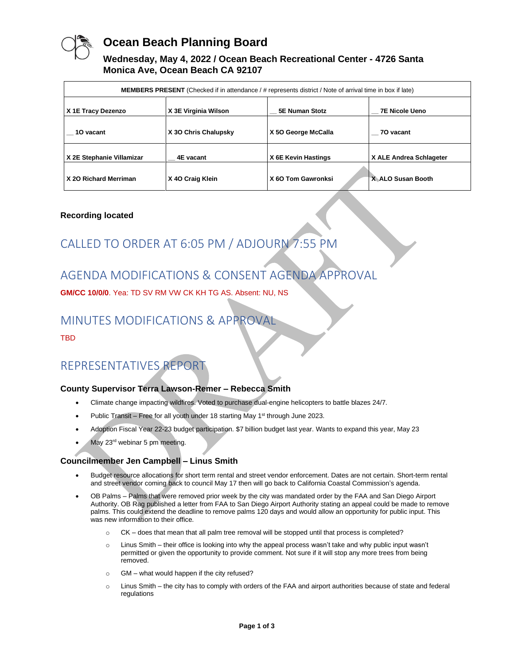

### **Ocean Beach Planning Board**

#### **Wednesday, May 4, 2022 / Ocean Beach Recreational Center - 4726 Santa Monica Ave, Ocean Beach CA 92107**

| <b>MEMBERS PRESENT</b> (Checked if in attendance / # represents district / Note of arrival time in box if late) |                      |                     |                         |
|-----------------------------------------------------------------------------------------------------------------|----------------------|---------------------|-------------------------|
| X 1E Tracy Dezenzo                                                                                              | X 3E Virginia Wilson | 5E Numan Stotz      | <b>7E Nicole Ueno</b>   |
| 10 vacant                                                                                                       | X 30 Chris Chalupsky | X 50 George McCalla | 70 vacant               |
| X 2E Stephanie Villamizar                                                                                       | 4E vacant            | X 6E Kevin Hastings | X ALE Andrea Schlageter |
| X 20 Richard Merriman                                                                                           | X 40 Craig Klein     | X 60 Tom Gawronksi  | X ALO Susan Booth       |

#### **Recording located**

# CALLED TO ORDER AT 6:05 PM / ADJOURN 7:55 PM

### AGENDA MODIFICATIONS & CONSENT AGENDA APPROVAL

**GM/CC 10/0/0**. Yea: TD SV RM VW CK KH TG AS. Absent: NU, NS

### MINUTES MODIFICATIONS & APPROVAL

TBD

## REPRESENTATIVES REPORT

#### **County Supervisor Terra Lawson-Remer – Rebecca Smith**

- Climate change impacting wildfires. Voted to purchase dual-engine helicopters to battle blazes 24/7.
- Public Transit Free for all youth under 18 starting May  $1<sup>st</sup>$  through June 2023.
- Adoption Fiscal Year 22-23 budget participation. \$7 billion budget last year. Wants to expand this year, May 23
- May 23<sup>rd</sup> webinar 5 pm meeting.

#### **Councilmember Jen Campbell – Linus Smith**

- Budget resource allocations for short term rental and street vendor enforcement. Dates are not certain. Short-term rental and street vendor coming back to council May 17 then will go back to California Coastal Commission's agenda.
- OB Palms Palms that were removed prior week by the city was mandated order by the FAA and San Diego Airport Authority. OB Rag published a letter from FAA to San Diego Airport Authority stating an appeal could be made to remove palms. This could extend the deadline to remove palms 120 days and would allow an opportunity for public input. This was new information to their office.
	- o CK does that mean that all palm tree removal will be stopped until that process is completed?
	- o Linus Smith their office is looking into why the appeal process wasn't take and why public input wasn't permitted or given the opportunity to provide comment. Not sure if it will stop any more trees from being removed.
	- o GM what would happen if the city refused?
	- o Linus Smith the city has to comply with orders of the FAA and airport authorities because of state and federal regulations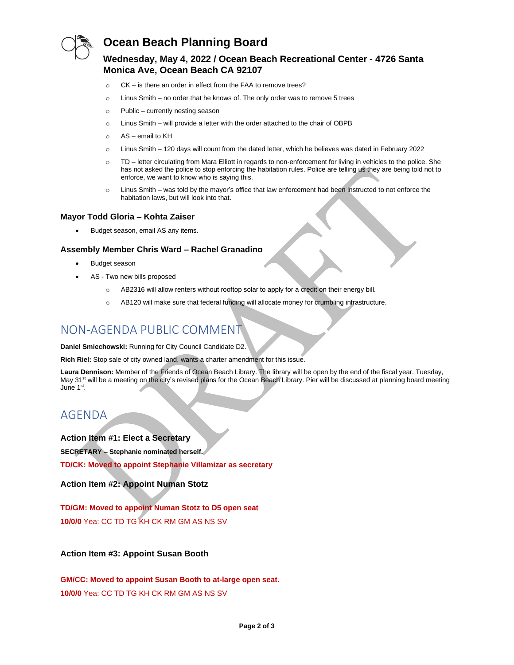

### **Ocean Beach Planning Board**

#### **Wednesday, May 4, 2022 / Ocean Beach Recreational Center - 4726 Santa Monica Ave, Ocean Beach CA 92107**

- o CK is there an order in effect from the FAA to remove trees?
- $\circ$  Linus Smith no order that he knows of. The only order was to remove 5 trees
- o Public currently nesting season
- o Linus Smith will provide a letter with the order attached to the chair of OBPB
- o AS email to KH
- o Linus Smith 120 days will count from the dated letter, which he believes was dated in February 2022
- o TD letter circulating from Mara Elliott in regards to non-enforcement for living in vehicles to the police. She has not asked the police to stop enforcing the habitation rules. Police are telling us they are being told not to enforce, we want to know who is saying this.
- o Linus Smith was told by the mayor's office that law enforcement had been instructed to not enforce the habitation laws, but will look into that.

#### **Mayor Todd Gloria – Kohta Zaiser**

• Budget season, email AS any items.

#### **Assembly Member Chris Ward – Rachel Granadino**

- Budget season
- AS Two new bills proposed
	- o AB2316 will allow renters without rooftop solar to apply for a credit on their energy bill.
	- o AB120 will make sure that federal funding will allocate money for crumbling infrastructure.

### NON-AGENDA PUBLIC COMMENT

**Daniel Smiechowski:** Running for City Council Candidate D2.

**Rich Riel:** Stop sale of city owned land, wants a charter amendment for this issue.

**Laura Dennison:** Member of the Friends of Ocean Beach Library. The library will be open by the end of the fiscal year. Tuesday, May 31<sup>st</sup> will be a meeting on the city's revised plans for the Ocean Beach Library. Pier will be discussed at planning board meeting June 1st.

### AGENDA

**Action Item #1: Elect a Secretary**

**SECRETARY – Stephanie nominated herself.**

**TD/CK: Moved to appoint Stephanie Villamizar as secretary**

**Action Item #2: Appoint Numan Stotz**

**TD/GM: Moved to appoint Numan Stotz to D5 open seat 10/0/0** Yea: CC TD TG KH CK RM GM AS NS SV

**Action Item #3: Appoint Susan Booth**

**GM/CC: Moved to appoint Susan Booth to at-large open seat. 10/0/0** Yea: CC TD TG KH CK RM GM AS NS SV